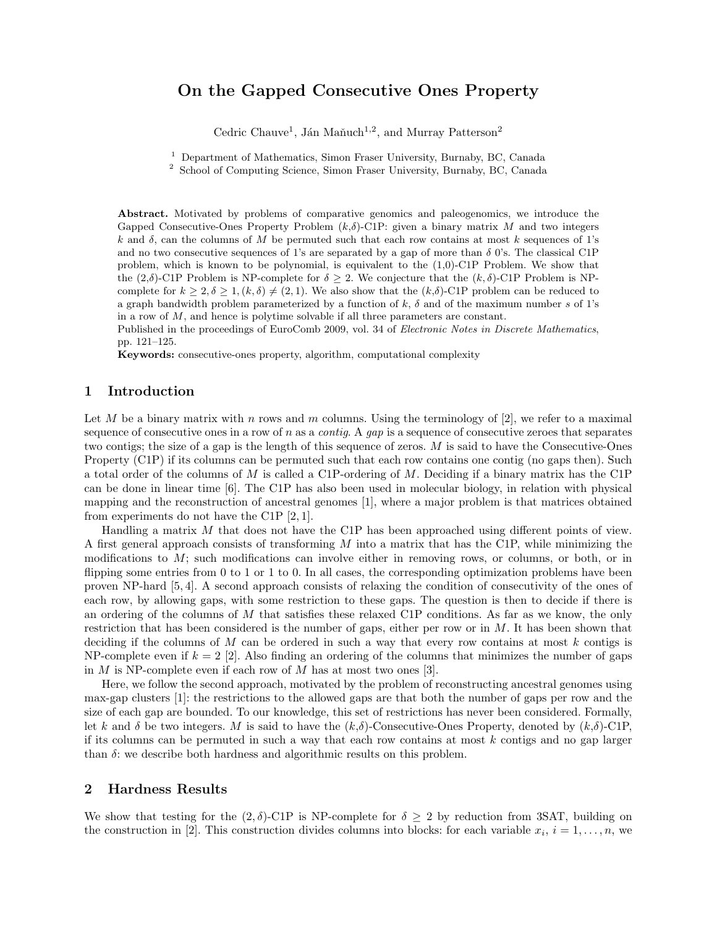# On the Gapped Consecutive Ones Property

Cedric Chauve<sup>1</sup>, Ján Maňuch<sup>1,2</sup>, and Murray Patterson<sup>2</sup>

<sup>1</sup> Department of Mathematics, Simon Fraser University, Burnaby, BC, Canada

<sup>2</sup> School of Computing Science, Simon Fraser University, Burnaby, BC, Canada

Abstract. Motivated by problems of comparative genomics and paleogenomics, we introduce the Gapped Consecutive-Ones Property Problem  $(k,\delta)$ -C1P: given a binary matrix M and two integers k and  $\delta$ , can the columns of M be permuted such that each row contains at most k sequences of 1's and no two consecutive sequences of 1's are separated by a gap of more than  $\delta$  0's. The classical C1P problem, which is known to be polynomial, is equivalent to the (1,0)-C1P Problem. We show that the  $(2,\delta)$ -C1P Problem is NP-complete for  $\delta > 2$ . We conjecture that the  $(k,\delta)$ -C1P Problem is NPcomplete for  $k \geq 2, \delta \geq 1, (k, \delta) \neq (2, 1)$ . We also show that the  $(k, \delta)$ -C1P problem can be reduced to a graph bandwidth problem parameterized by a function of  $k$ ,  $\delta$  and of the maximum number s of 1's in a row of  $M$ , and hence is polytime solvable if all three parameters are constant.

Published in the proceedings of EuroComb 2009, vol. 34 of Electronic Notes in Discrete Mathematics, pp. 121–125.

Keywords: consecutive-ones property, algorithm, computational complexity

#### 1 Introduction

Let M be a binary matrix with n rows and m columns. Using the terminology of  $[2]$ , we refer to a maximal sequence of consecutive ones in a row of n as a *contig*. A *gap* is a sequence of consecutive zeroes that separates two contigs; the size of a gap is the length of this sequence of zeros. M is said to have the Consecutive-Ones Property (C1P) if its columns can be permuted such that each row contains one contig (no gaps then). Such a total order of the columns of M is called a C1P-ordering of M. Deciding if a binary matrix has the C1P can be done in linear time [6]. The C1P has also been used in molecular biology, in relation with physical mapping and the reconstruction of ancestral genomes [1], where a major problem is that matrices obtained from experiments do not have the C1P [2, 1].

Handling a matrix  $M$  that does not have the C1P has been approached using different points of view. A first general approach consists of transforming  $M$  into a matrix that has the C1P, while minimizing the modifications to M; such modifications can involve either in removing rows, or columns, or both, or in flipping some entries from 0 to 1 or 1 to 0. In all cases, the corresponding optimization problems have been proven NP-hard [5, 4]. A second approach consists of relaxing the condition of consecutivity of the ones of each row, by allowing gaps, with some restriction to these gaps. The question is then to decide if there is an ordering of the columns of M that satisfies these relaxed C1P conditions. As far as we know, the only restriction that has been considered is the number of gaps, either per row or in  $M$ . It has been shown that deciding if the columns of M can be ordered in such a way that every row contains at most  $k$  contigs is NP-complete even if  $k = 2$  [2]. Also finding an ordering of the columns that minimizes the number of gaps in  $M$  is NP-complete even if each row of  $M$  has at most two ones [3].

Here, we follow the second approach, motivated by the problem of reconstructing ancestral genomes using max-gap clusters [1]: the restrictions to the allowed gaps are that both the number of gaps per row and the size of each gap are bounded. To our knowledge, this set of restrictions has never been considered. Formally, let k and δ be two integers. M is said to have the  $(k,\delta)$ -Consecutive-Ones Property, denoted by  $(k,\delta)$ -C1P, if its columns can be permuted in such a way that each row contains at most  $k$  contigs and no gap larger than  $\delta$ : we describe both hardness and algorithmic results on this problem.

## 2 Hardness Results

We show that testing for the  $(2, \delta)$ -C1P is NP-complete for  $\delta \geq 2$  by reduction from 3SAT, building on the construction in [2]. This construction divides columns into blocks: for each variable  $x_i$ ,  $i = 1, \ldots, n$ , we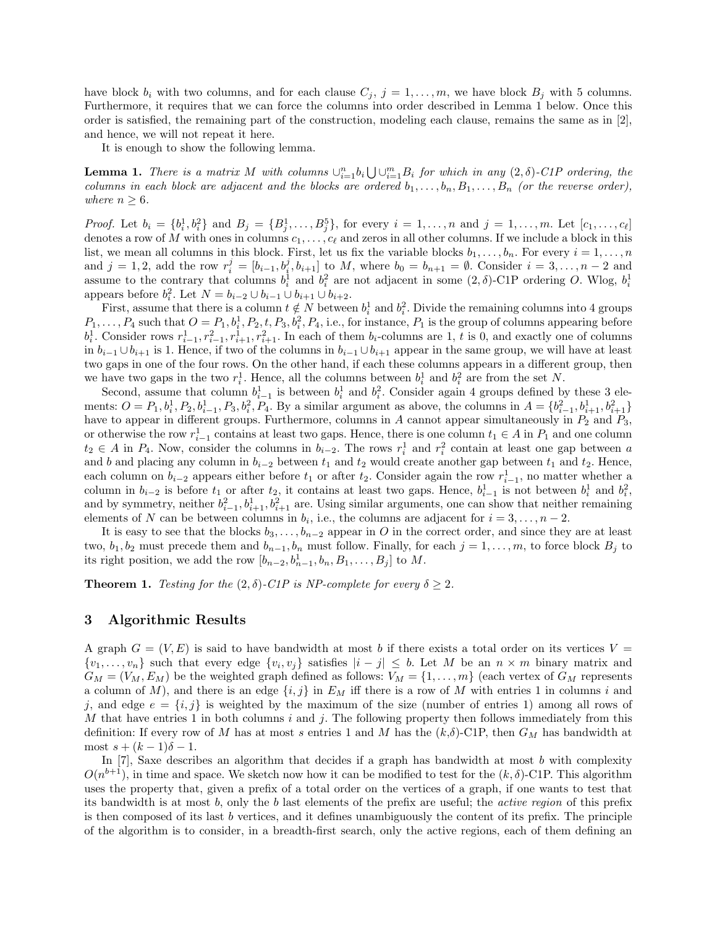have block  $b_i$  with two columns, and for each clause  $C_j$ ,  $j = 1, \ldots, m$ , we have block  $B_j$  with 5 columns. Furthermore, it requires that we can force the columns into order described in Lemma 1 below. Once this order is satisfied, the remaining part of the construction, modeling each clause, remains the same as in [2], and hence, we will not repeat it here.

It is enough to show the following lemma.

**Lemma 1.** There is a matrix M with columns  $\bigcup_{i=1}^{n} b_i \bigcup \bigcup_{i=1}^{m} B_i$  for which in any  $(2, \delta)$ -C1P ordering, the columns in each block are adjacent and the blocks are ordered  $b_1, \ldots, b_n, B_1, \ldots, B_n$  (or the reverse order), where  $n \geq 6$ .

*Proof.* Let  $b_i = \{b_i^1, b_i^2\}$  and  $B_j = \{B_j^1, \ldots, B_j^5\}$ , for every  $i = 1, \ldots, n$  and  $j = 1, \ldots, m$ . Let  $[c_1, \ldots, c_\ell]$ denotes a row of M with ones in columns  $c_1, \ldots, c_\ell$  and zeros in all other columns. If we include a block in this list, we mean all columns in this block. First, let us fix the variable blocks  $b_1, \ldots, b_n$ . For every  $i = 1, \ldots, n$ and  $j = 1, 2$ , add the row  $r_i^j = [b_{i-1}, b_i^j, b_{i+1}]$  to M, where  $b_0 = b_{n+1} = \emptyset$ . Consider  $i = 3, ..., n-2$  and assume to the contrary that columns  $b_i^1$  and  $b_i^2$  are not adjacent in some  $(2, \delta)$ -C1P ordering O. Wlog,  $b_i^1$ appears before  $b_i^2$ . Let  $N = b_{i-2} \cup b_{i-1} \cup b_{i+1} \cup b_{i+2}$ .

First, assume that there is a column  $t \notin N$  between  $b_i^1$  and  $b_i^2$ . Divide the remaining columns into 4 groups  $P_1, \ldots, P_4$  such that  $O = P_1, b_i^1, P_2, t, P_3, b_i^2, P_4$ , i.e., for instance,  $P_1$  is the group of columns appearing before  $b_i^1$ . Consider rows  $r_{i-1}^1, r_{i-1}^2, r_{i+1}^2, r_{i+1}^2$ . In each of them  $b_i$ -columns are 1, t is 0, and exactly one of columns in  $b_{i-1} \cup b_{i+1}$  is 1. Hence, if two of the columns in  $b_{i-1} \cup b_{i+1}$  appear in the same group, we will have at least two gaps in one of the four rows. On the other hand, if each these columns appears in a different group, then we have two gaps in the two  $r_i^1$ . Hence, all the columns between  $b_i^1$  and  $b_i^2$  are from the set N.

Second, assume that column  $b_{i-1}^1$  is between  $b_i^1$  and  $b_i^2$ . Consider again 4 groups defined by these 3 elements:  $O = P_1, b_i^1, P_2, b_{i-1}^1, P_3, b_i^2, P_4$ . By a similar argument as above, the columns in  $A = \{b_{i-1}^2, b_{i+1}^1, b_{i+1}^2\}$ have to appear in different groups. Furthermore, columns in A cannot appear simultaneously in  $P_2$  and  $P_3$ , or otherwise the row  $r_{i-1}^1$  contains at least two gaps. Hence, there is one column  $t_1 \in A$  in  $P_1$  and one column  $t_2 \in A$  in  $P_4$ . Now, consider the columns in  $b_{i-2}$ . The rows  $r_i^1$  and  $r_i^2$  contain at least one gap between a and b and placing any column in  $b_{i-2}$  between  $t_1$  and  $t_2$  would create another gap between  $t_1$  and  $t_2$ . Hence, each column on  $b_{i-2}$  appears either before  $t_1$  or after  $t_2$ . Consider again the row  $r_{i-1}^1$ , no matter whether a column in  $b_{i-2}$  is before  $t_1$  or after  $t_2$ , it contains at least two gaps. Hence,  $b_{i-1}^1$  is not between  $b_i^1$  and  $b_i^2$ , and by symmetry, neither  $b_{i-1}^2$ ,  $b_{i+1}^1$ ,  $b_{i+1}^2$  are. Using similar arguments, one can show that neither remaining elements of N can be between columns in  $b_i$ , i.e., the columns are adjacent for  $i = 3, \ldots, n - 2$ .

It is easy to see that the blocks  $b_3, \ldots, b_{n-2}$  appear in O in the correct order, and since they are at least two,  $b_1, b_2$  must precede them and  $b_{n-1}, b_n$  must follow. Finally, for each  $j = 1, \ldots, m$ , to force block  $B_j$  to its right position, we add the row  $[b_{n-2}, b_{n-1}^1, b_n, B_1, \ldots, B_j]$  to M.

**Theorem 1.** Testing for the  $(2, \delta)$ -C1P is NP-complete for every  $\delta \geq 2$ .

#### 3 Algorithmic Results

A graph  $G = (V, E)$  is said to have bandwidth at most b if there exists a total order on its vertices  $V =$  $\{v_1,\ldots,v_n\}$  such that every edge  $\{v_i,v_j\}$  satisfies  $|i-j|\leq b$ . Let M be an  $n\times m$  binary matrix and  $G_M = (V_M, E_M)$  be the weighted graph defined as follows:  $V_M = \{1, \ldots, m\}$  (each vertex of  $G_M$  represents a column of M), and there is an edge  $\{i, j\}$  in  $E_M$  iff there is a row of M with entries 1 in columns i and j, and edge  $e = \{i, j\}$  is weighted by the maximum of the size (number of entries 1) among all rows of M that have entries 1 in both columns i and j. The following property then follows immediately from this definition: If every row of M has at most s entries 1 and M has the  $(k,\delta)$ -C1P, then  $G_M$  has bandwidth at most  $s + (k-1)\delta - 1$ .

In  $[7]$ , Saxe describes an algorithm that decides if a graph has bandwidth at most b with complexity  $O(n^{b+1})$ , in time and space. We sketch now how it can be modified to test for the  $(k, \delta)$ -C1P. This algorithm uses the property that, given a prefix of a total order on the vertices of a graph, if one wants to test that its bandwidth is at most b, only the b last elements of the prefix are useful; the active region of this prefix is then composed of its last b vertices, and it defines unambiguously the content of its prefix. The principle of the algorithm is to consider, in a breadth-first search, only the active regions, each of them defining an